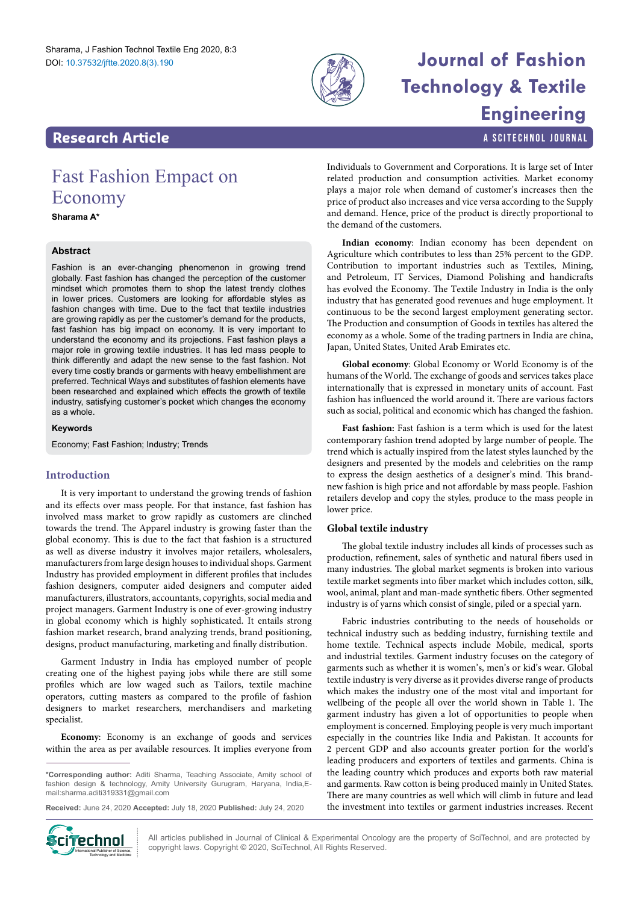

# **Journal of Fashion Technology & Textile Engineering**

a SciTechnol journal

### **Research Article**

## Fast Fashion Empact on Economy

### **Sharama A\***

#### **Abstract**

Fashion is an ever-changing phenomenon in growing trend globally. Fast fashion has changed the perception of the customer mindset which promotes them to shop the latest trendy clothes in lower prices. Customers are looking for affordable styles as fashion changes with time. Due to the fact that textile industries are growing rapidly as per the customer's demand for the products, fast fashion has big impact on economy. It is very important to understand the economy and its projections. Fast fashion plays a major role in growing textile industries. It has led mass people to think differently and adapt the new sense to the fast fashion. Not every time costly brands or garments with heavy embellishment are preferred. Technical Ways and substitutes of fashion elements have been researched and explained which effects the growth of textile industry, satisfying customer's pocket which changes the economy as a whole.

#### **Keywords**

Economy; Fast Fashion; Industry; Trends

#### **Introduction**

It is very important to understand the growing trends of fashion and its effects over mass people. For that instance, fast fashion has involved mass market to grow rapidly as customers are clinched towards the trend. The Apparel industry is growing faster than the global economy. This is due to the fact that fashion is a structured as well as diverse industry it involves major retailers, wholesalers, manufacturers from large design houses to individual shops. Garment Industry has provided employment in different profiles that includes fashion designers, computer aided designers and computer aided manufacturers, illustrators, accountants, copyrights, social media and project managers. Garment Industry is one of ever-growing industry in global economy which is highly sophisticated. It entails strong fashion market research, brand analyzing trends, brand positioning, designs, product manufacturing, marketing and finally distribution.

Garment Industry in India has employed number of people creating one of the highest paying jobs while there are still some profiles which are low waged such as Tailors, textile machine operators, cutting masters as compared to the profile of fashion designers to market researchers, merchandisers and marketing specialist.

**Economy**: Economy is an exchange of goods and services within the area as per available resources. It implies everyone from

**Received:** June 24, 2020 **Accepted:** July 18, 2020 **Published:** July 24, 2020



All articles published in Journal of Clinical & Experimental Oncology are the property of SciTechnol, and are protected by **Ciffechnol** All articles published in Journal of Clinical & Experimental Oncolo<br>copyright laws. Copyright © 2020, SciTechnol, All Rights Reserved.

Individuals to Government and Corporations. It is large set of Inter related production and consumption activities. Market economy plays a major role when demand of customer's increases then the price of product also increases and vice versa according to the Supply and demand. Hence, price of the product is directly proportional to the demand of the customers.

**Indian economy**: Indian economy has been dependent on Agriculture which contributes to less than 25% percent to the GDP. Contribution to important industries such as Textiles, Mining, and Petroleum, IT Services, Diamond Polishing and handicrafts has evolved the Economy. The Textile Industry in India is the only industry that has generated good revenues and huge employment. It continuous to be the second largest employment generating sector. The Production and consumption of Goods in textiles has altered the economy as a whole. Some of the trading partners in India are china, Japan, United States, United Arab Emirates etc.

**Global economy**: Global Economy or World Economy is of the humans of the World. The exchange of goods and services takes place internationally that is expressed in monetary units of account. Fast fashion has influenced the world around it. There are various factors such as social, political and economic which has changed the fashion.

Fast fashion: Fast fashion is a term which is used for the latest contemporary fashion trend adopted by large number of people. The trend which is actually inspired from the latest styles launched by the designers and presented by the models and celebrities on the ramp to express the design aesthetics of a designer's mind. This brandnew fashion is high price and not affordable by mass people. Fashion retailers develop and copy the styles, produce to the mass people in lower price.

#### **Global textile industry**

The global textile industry includes all kinds of processes such as production, refinement, sales of synthetic and natural fibers used in many industries. The global market segments is broken into various textile market segments into fiber market which includes cotton, silk, wool, animal, plant and man-made synthetic fibers. Other segmented industry is of yarns which consist of single, piled or a special yarn.

Fabric industries contributing to the needs of households or technical industry such as bedding industry, furnishing textile and home textile. Technical aspects include Mobile, medical, sports and industrial textiles. Garment industry focuses on the category of garments such as whether it is women's, men's or kid's wear. Global textile industry is very diverse as it provides diverse range of products which makes the industry one of the most vital and important for wellbeing of the people all over the world shown in Table 1. The garment industry has given a lot of opportunities to people when employment is concerned. Employing people is very much important especially in the countries like India and Pakistan. It accounts for 2 percent GDP and also accounts greater portion for the world's leading producers and exporters of textiles and garments. China is the leading country which produces and exports both raw material and garments. Raw cotton is being produced mainly in United States. There are many countries as well which will climb in future and lead the investment into textiles or garment industries increases. Recent

**<sup>\*</sup>Corresponding author:** Aditi Sharma, Teaching Associate, Amity school of fashion design & technology, Amity University Gurugram, Haryana, India,Email:sharma.aditi319331@gmail.com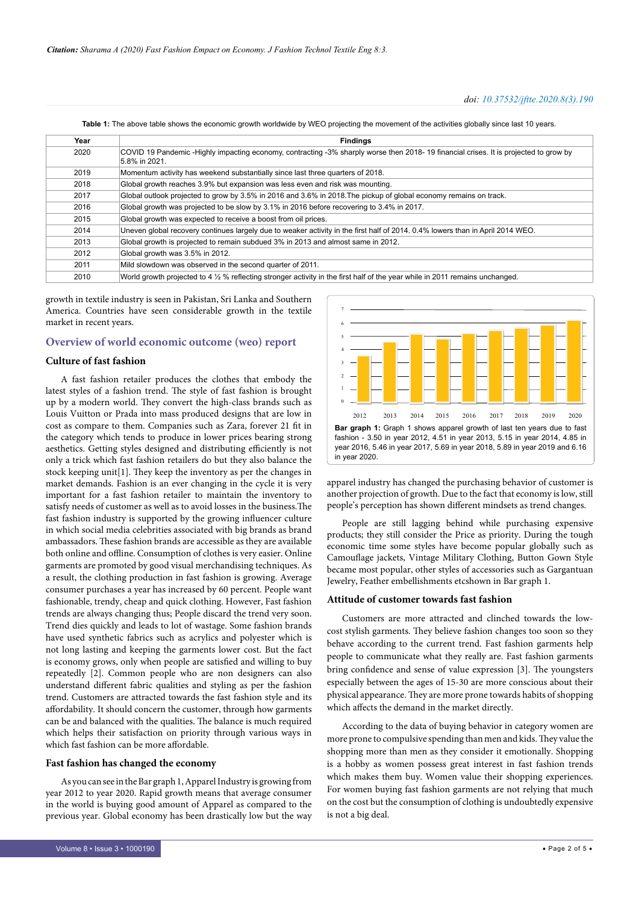**Table 1:** The above table shows the economic growth worldwide by WEO projecting the movement of the activities globally since last 10 years.

| Year | <b>Findings</b>                                                                                                                                       |
|------|-------------------------------------------------------------------------------------------------------------------------------------------------------|
| 2020 | COVID 19 Pandemic -Highly impacting economy, contracting -3% sharply worse then 2018-19 financial crises. It is projected to grow by<br>5.8% in 2021. |
| 2019 | Momentum activity has weekend substantially since last three quarters of 2018.                                                                        |
| 2018 | Global growth reaches 3.9% but expansion was less even and risk was mounting.                                                                         |
| 2017 | Global outlook projected to grow by 3.5% in 2016 and 3.6% in 2018. The pickup of global economy remains on track.                                     |
| 2016 | Global growth was projected to be slow by 3.1% in 2016 before recovering to 3.4% in 2017.                                                             |
| 2015 | Global growth was expected to receive a boost from oil prices.                                                                                        |
| 2014 | Uneven global recovery continues largely due to weaker activity in the first half of 2014, 0.4% lowers than in April 2014 WEO.                        |
| 2013 | Global growth is projected to remain subdued 3% in 2013 and almost same in 2012.                                                                      |
| 2012 | Global growth was 3.5% in 2012.                                                                                                                       |
| 2011 | Mild slowdown was observed in the second quarter of 2011.                                                                                             |
| 2010 | World growth projected to 4 1/2 % reflecting stronger activity in the first half of the year while in 2011 remains unchanged.                         |

growth in textile industry is seen in Pakistan, Sri Lanka and Southern America. Countries have seen considerable growth in the textile market in recent years.

#### **Overview of world economic outcome (weo) report**

#### **Culture of fast fashion**

A fast fashion retailer produces the clothes that embody the latest styles of a fashion trend. The style of fast fashion is brought up by a modern world. They convert the high-class brands such as Louis Vuitton or Prada into mass produced designs that are low in cost as compare to them. Companies such as Zara, forever 21 fit in the category which tends to produce in lower prices bearing strong aesthetics. Getting styles designed and distributing efficiently is not only a trick which fast fashion retailers do but they also balance the stock keeping unit[1]. They keep the inventory as per the changes in market demands. Fashion is an ever changing in the cycle it is very important for a fast fashion retailer to maintain the inventory to satisfy needs of customer as well as to avoid losses in the business.The fast fashion industry is supported by the growing influencer culture in which social media celebrities associated with big brands as brand ambassadors. These fashion brands are accessible as they are available both online and offline. Consumption of clothes is very easier. Online garments are promoted by good visual merchandising techniques. As a result, the clothing production in fast fashion is growing. Average consumer purchases a year has increased by 60 percent. People want fashionable, trendy, cheap and quick clothing. However, Fast fashion trends are always changing thus; People discard the trend very soon. Trend dies quickly and leads to lot of wastage. Some fashion brands have used synthetic fabrics such as acrylics and polyester which is not long lasting and keeping the garments lower cost. But the fact is economy grows, only when people are satisfied and willing to buy repeatedly [2]. Common people who are non designers can also understand different fabric qualities and styling as per the fashion trend. Customers are attracted towards the fast fashion style and its affordability. It should concern the customer, through how garments can be and balanced with the qualities. The balance is much required which helps their satisfaction on priority through various ways in which fast fashion can be more affordable.

#### **Fast fashion has changed the economy**

As you can see in the Bar graph 1, Apparel Industry is growing from year 2012 to year 2020. Rapid growth means that average consumer in the world is buying good amount of Apparel as compared to the previous year. Global economy has been drastically low but the way



apparel industry has changed the purchasing behavior of customer is another projection of growth. Due to the fact that economy is low, still people's perception has shown different mindsets as trend changes.

People are still lagging behind while purchasing expensive products; they still consider the Price as priority. During the tough economic time some styles have become popular globally such as Camouflage jackets, Vintage Military Clothing, Button Gown Style became most popular, other styles of accessories such as Gargantuan Jewelry, Feather embellishments etcshown in Bar graph 1.

#### **Attitude of customer towards fast fashion**

Customers are more attracted and clinched towards the lowcost stylish garments. They believe fashion changes too soon so they behave according to the current trend. Fast fashion garments help people to communicate what they really are. Fast fashion garments bring confidence and sense of value expression [3]. The youngsters especially between the ages of 15-30 are more conscious about their physical appearance. They are more prone towards habits of shopping which affects the demand in the market directly.

According to the data of buying behavior in category women are more prone to compulsive spending than men and kids. They value the shopping more than men as they consider it emotionally. Shopping is a hobby as women possess great interest in fast fashion trends which makes them buy. Women value their shopping experiences. For women buying fast fashion garments are not relying that much on the cost but the consumption of clothing is undoubtedly expensive is not a big deal.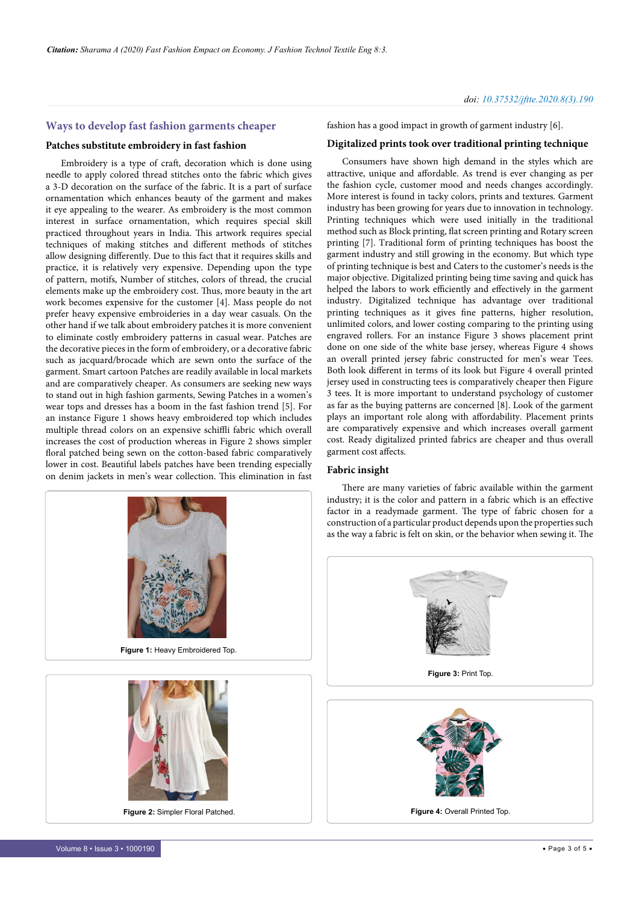#### **Ways to develop fast fashion garments cheaper**

#### **Patches substitute embroidery in fast fashion**

Embroidery is a type of craft, decoration which is done using needle to apply colored thread stitches onto the fabric which gives a 3-D decoration on the surface of the fabric. It is a part of surface ornamentation which enhances beauty of the garment and makes it eye appealing to the wearer. As embroidery is the most common interest in surface ornamentation, which requires special skill practiced throughout years in India. This artwork requires special techniques of making stitches and different methods of stitches allow designing differently. Due to this fact that it requires skills and practice, it is relatively very expensive. Depending upon the type of pattern, motifs, Number of stitches, colors of thread, the crucial elements make up the embroidery cost. Thus, more beauty in the art work becomes expensive for the customer [4]. Mass people do not prefer heavy expensive embroideries in a day wear casuals. On the other hand if we talk about embroidery patches it is more convenient to eliminate costly embroidery patterns in casual wear. Patches are the decorative pieces in the form of embroidery, or a decorative fabric such as jacquard/brocade which are sewn onto the surface of the garment. Smart cartoon Patches are readily available in local markets and are comparatively cheaper. As consumers are seeking new ways to stand out in high fashion garments, Sewing Patches in a women's wear tops and dresses has a boom in the fast fashion trend [5]. For an instance Figure 1 shows heavy embroidered top which includes multiple thread colors on an expensive schiffli fabric which overall increases the cost of production whereas in Figure 2 shows simpler floral patched being sewn on the cotton-based fabric comparatively lower in cost. Beautiful labels patches have been trending especially on denim jackets in men's wear collection. This elimination in fast



**Figure 2:** Simpler Floral Patched.

fashion has a good impact in growth of garment industry [6].

#### **Digitalized prints took over traditional printing technique**

Consumers have shown high demand in the styles which are attractive, unique and affordable. As trend is ever changing as per the fashion cycle, customer mood and needs changes accordingly. More interest is found in tacky colors, prints and textures. Garment industry has been growing for years due to innovation in technology. Printing techniques which were used initially in the traditional method such as Block printing, flat screen printing and Rotary screen printing [7]. Traditional form of printing techniques has boost the garment industry and still growing in the economy. But which type of printing technique is best and Caters to the customer's needs is the major objective. Digitalized printing being time saving and quick has helped the labors to work efficiently and effectively in the garment industry. Digitalized technique has advantage over traditional printing techniques as it gives fine patterns, higher resolution, unlimited colors, and lower costing comparing to the printing using engraved rollers. For an instance Figure 3 shows placement print done on one side of the white base jersey, whereas Figure 4 shows an overall printed jersey fabric constructed for men's wear Tees. Both look different in terms of its look but Figure 4 overall printed jersey used in constructing tees is comparatively cheaper then Figure 3 tees. It is more important to understand psychology of customer as far as the buying patterns are concerned [8]. Look of the garment plays an important role along with affordability. Placement prints are comparatively expensive and which increases overall garment cost. Ready digitalized printed fabrics are cheaper and thus overall garment cost affects.

#### **Fabric insight**

There are many varieties of fabric available within the garment industry; it is the color and pattern in a fabric which is an effective factor in a readymade garment. The type of fabric chosen for a construction of a particular product depends upon the properties such as the way a fabric is felt on skin, or the behavior when sewing it. The

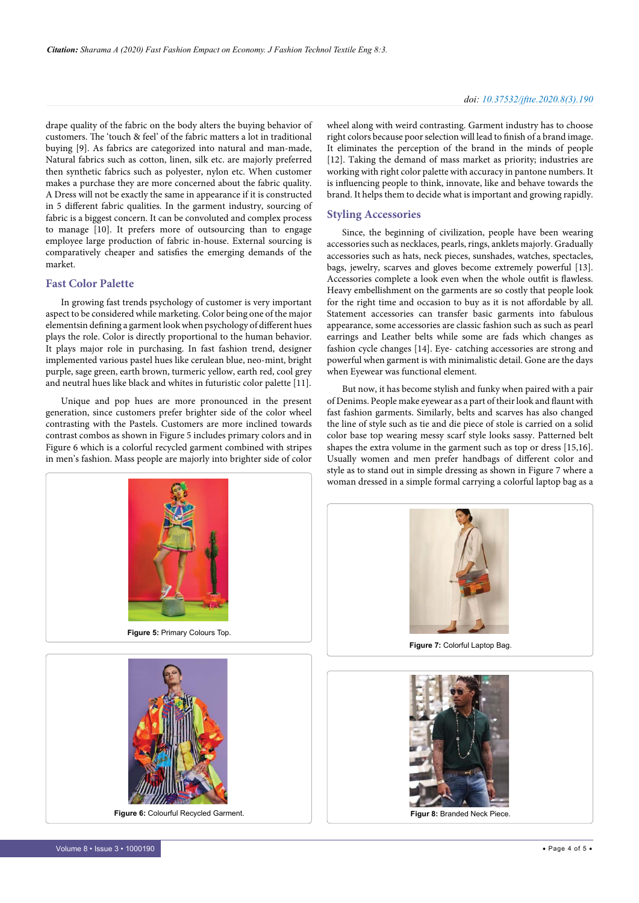#### *doi: 10.37532/jftte.2020.8(3).190*

drape quality of the fabric on the body alters the buying behavior of customers. The 'touch & feel' of the fabric matters a lot in traditional buying [9]. As fabrics are categorized into natural and man-made, Natural fabrics such as cotton, linen, silk etc. are majorly preferred then synthetic fabrics such as polyester, nylon etc. When customer makes a purchase they are more concerned about the fabric quality. A Dress will not be exactly the same in appearance if it is constructed in 5 different fabric qualities. In the garment industry, sourcing of fabric is a biggest concern. It can be convoluted and complex process to manage [10]. It prefers more of outsourcing than to engage employee large production of fabric in-house. External sourcing is comparatively cheaper and satisfies the emerging demands of the market.

#### **Fast Color Palette**

In growing fast trends psychology of customer is very important aspect to be considered while marketing. Color being one of the major elementsin defining a garment look when psychology of different hues plays the role. Color is directly proportional to the human behavior. It plays major role in purchasing. In fast fashion trend, designer implemented various pastel hues like cerulean blue, neo-mint, bright purple, sage green, earth brown, turmeric yellow, earth red, cool grey and neutral hues like black and whites in futuristic color palette [11].

Unique and pop hues are more pronounced in the present generation, since customers prefer brighter side of the color wheel contrasting with the Pastels. Customers are more inclined towards contrast combos as shown in Figure 5 includes primary colors and in Figure 6 which is a colorful recycled garment combined with stripes in men's fashion. Mass people are majorly into brighter side of color





**Figure 6:** Colourful Recycled Garment.

wheel along with weird contrasting. Garment industry has to choose right colors because poor selection will lead to finish of a brand image. It eliminates the perception of the brand in the minds of people [12]. Taking the demand of mass market as priority; industries are working with right color palette with accuracy in pantone numbers. It is influencing people to think, innovate, like and behave towards the brand. It helps them to decide what is important and growing rapidly.

#### **Styling Accessories**

Since, the beginning of civilization, people have been wearing accessories such as necklaces, pearls, rings, anklets majorly. Gradually accessories such as hats, neck pieces, sunshades, watches, spectacles, bags, jewelry, scarves and gloves become extremely powerful [13]. Accessories complete a look even when the whole outfit is flawless. Heavy embellishment on the garments are so costly that people look for the right time and occasion to buy as it is not affordable by all. Statement accessories can transfer basic garments into fabulous appearance, some accessories are classic fashion such as such as pearl earrings and Leather belts while some are fads which changes as fashion cycle changes [14]. Eye- catching accessories are strong and powerful when garment is with minimalistic detail. Gone are the days when Eyewear was functional element.

But now, it has become stylish and funky when paired with a pair of Denims. People make eyewear as a part of their look and flaunt with fast fashion garments. Similarly, belts and scarves has also changed the line of style such as tie and die piece of stole is carried on a solid color base top wearing messy scarf style looks sassy. Patterned belt shapes the extra volume in the garment such as top or dress [15,16]. Usually women and men prefer handbags of different color and style as to stand out in simple dressing as shown in Figure 7 where a woman dressed in a simple formal carrying a colorful laptop bag as a